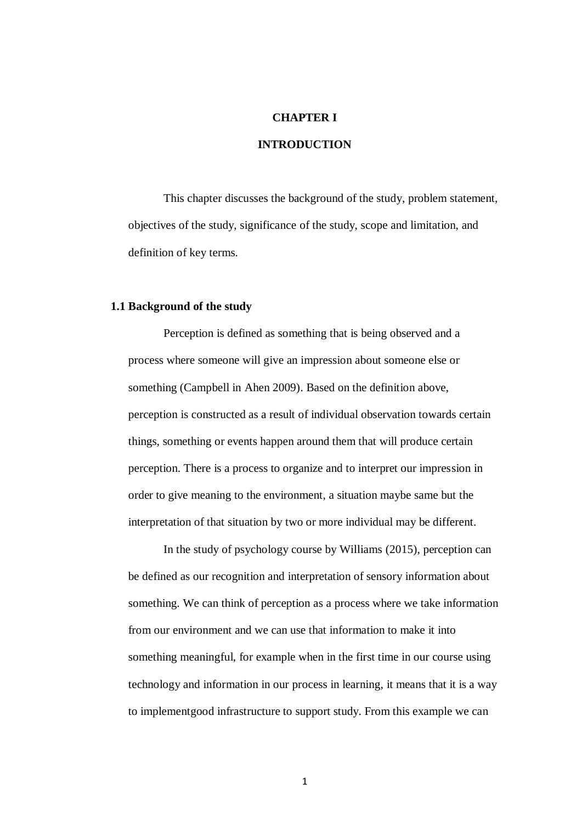## **CHAPTER I**

## **INTRODUCTION**

This chapter discusses the background of the study, problem statement, objectives of the study, significance of the study, scope and limitation, and definition of key terms.

#### **1.1 Background of the study**

Perception is defined as something that is being observed and a process where someone will give an impression about someone else or something (Campbell in Ahen 2009). Based on the definition above, perception is constructed as a result of individual observation towards certain things, something or events happen around them that will produce certain perception. There is a process to organize and to interpret our impression in order to give meaning to the environment, a situation maybe same but the interpretation of that situation by two or more individual may be different.

In the study of psychology course by Williams (2015), perception can be defined as our recognition and interpretation of sensory information about something. We can think of perception as a process where we take information from our environment and we can use that information to make it into something meaningful, for example when in the first time in our course using technology and information in our process in learning, it means that it is a way to implementgood infrastructure to support study. From this example we can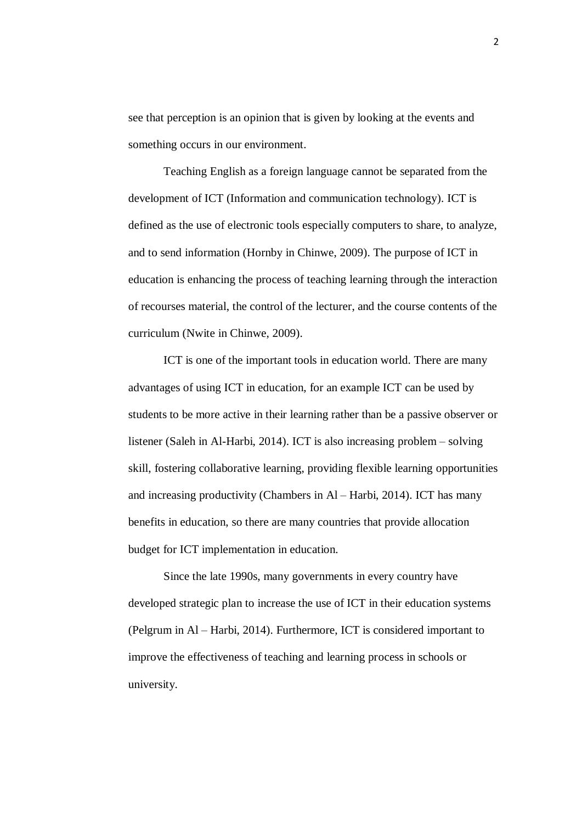see that perception is an opinion that is given by looking at the events and something occurs in our environment.

Teaching English as a foreign language cannot be separated from the development of ICT (Information and communication technology). ICT is defined as the use of electronic tools especially computers to share, to analyze, and to send information (Hornby in Chinwe, 2009). The purpose of ICT in education is enhancing the process of teaching learning through the interaction of recourses material, the control of the lecturer, and the course contents of the curriculum (Nwite in Chinwe, 2009).

ICT is one of the important tools in education world. There are many advantages of using ICT in education, for an example ICT can be used by students to be more active in their learning rather than be a passive observer or listener (Saleh in Al-Harbi, 2014). ICT is also increasing problem – solving skill, fostering collaborative learning, providing flexible learning opportunities and increasing productivity (Chambers in Al – Harbi, 2014). ICT has many benefits in education, so there are many countries that provide allocation budget for ICT implementation in education.

Since the late 1990s, many governments in every country have developed strategic plan to increase the use of ICT in their education systems (Pelgrum in Al – Harbi, 2014). Furthermore, ICT is considered important to improve the effectiveness of teaching and learning process in schools or university.

2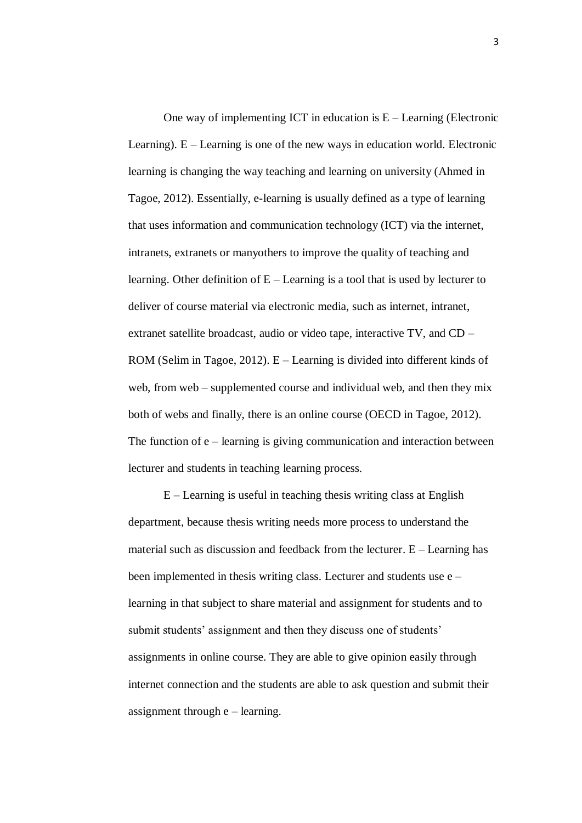One way of implementing ICT in education is  $E -$  Learning (Electronic Learning).  $E -$ Learning is one of the new ways in education world. Electronic learning is changing the way teaching and learning on university (Ahmed in Tagoe, 2012). Essentially, e-learning is usually defined as a type of learning that uses information and communication technology (ICT) via the internet, intranets, extranets or manyothers to improve the quality of teaching and learning. Other definition of E – Learning is a tool that is used by lecturer to deliver of course material via electronic media, such as internet, intranet, extranet satellite broadcast, audio or video tape, interactive TV, and CD – ROM (Selim in Tagoe, 2012). E – Learning is divided into different kinds of web, from web – supplemented course and individual web, and then they mix both of webs and finally, there is an online course (OECD in Tagoe, 2012). The function of  $e$  – learning is giving communication and interaction between lecturer and students in teaching learning process.

E – Learning is useful in teaching thesis writing class at English department, because thesis writing needs more process to understand the material such as discussion and feedback from the lecturer. E – Learning has been implemented in thesis writing class. Lecturer and students use e – learning in that subject to share material and assignment for students and to submit students' assignment and then they discuss one of students' assignments in online course. They are able to give opinion easily through internet connection and the students are able to ask question and submit their assignment through e – learning.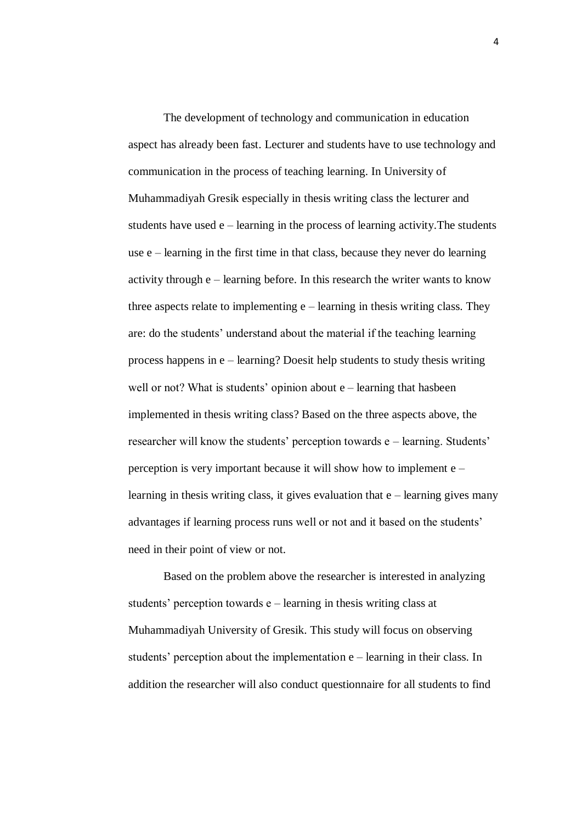The development of technology and communication in education aspect has already been fast. Lecturer and students have to use technology and communication in the process of teaching learning. In University of Muhammadiyah Gresik especially in thesis writing class the lecturer and students have used e – learning in the process of learning activity.The students use e – learning in the first time in that class, because they never do learning activity through e – learning before. In this research the writer wants to know three aspects relate to implementing  $e$  – learning in thesis writing class. They are: do the students' understand about the material if the teaching learning process happens in e – learning? Doesit help students to study thesis writing well or not? What is students' opinion about e – learning that hasbeen implemented in thesis writing class? Based on the three aspects above, the researcher will know the students' perception towards e – learning. Students' perception is very important because it will show how to implement e – learning in thesis writing class, it gives evaluation that  $e$  – learning gives many advantages if learning process runs well or not and it based on the students' need in their point of view or not.

Based on the problem above the researcher is interested in analyzing students' perception towards e – learning in thesis writing class at Muhammadiyah University of Gresik. This study will focus on observing students' perception about the implementation e – learning in their class. In addition the researcher will also conduct questionnaire for all students to find

4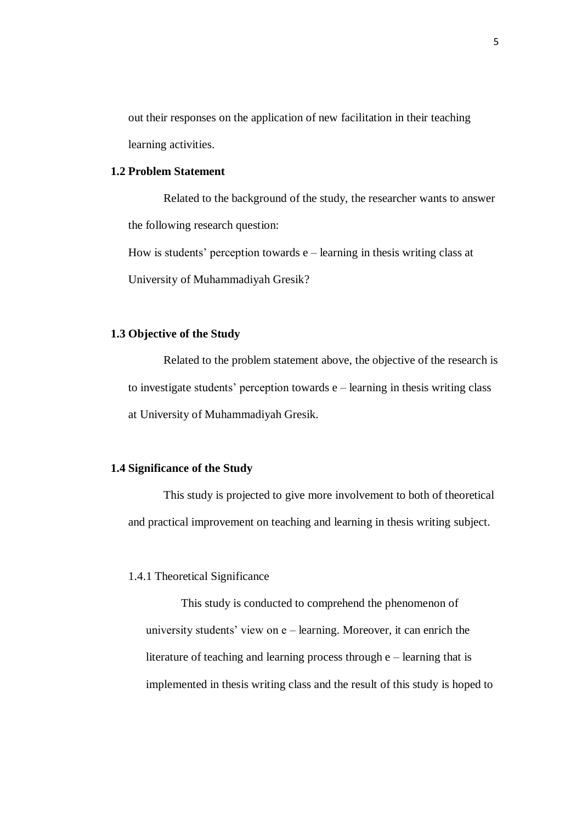out their responses on the application of new facilitation in their teaching learning activities.

## **1.2 Problem Statement**

Related to the background of the study, the researcher wants to answer the following research question:

How is students' perception towards  $e$  – learning in thesis writing class at University of Muhammadiyah Gresik?

### **1.3 Objective of the Study**

Related to the problem statement above, the objective of the research is to investigate students' perception towards e – learning in thesis writing class at University of Muhammadiyah Gresik.

# **1.4 Significance of the Study**

This study is projected to give more involvement to both of theoretical and practical improvement on teaching and learning in thesis writing subject.

## 1.4.1 Theoretical Significance

This study is conducted to comprehend the phenomenon of university students' view on e – learning. Moreover, it can enrich the literature of teaching and learning process through e – learning that is implemented in thesis writing class and the result of this study is hoped to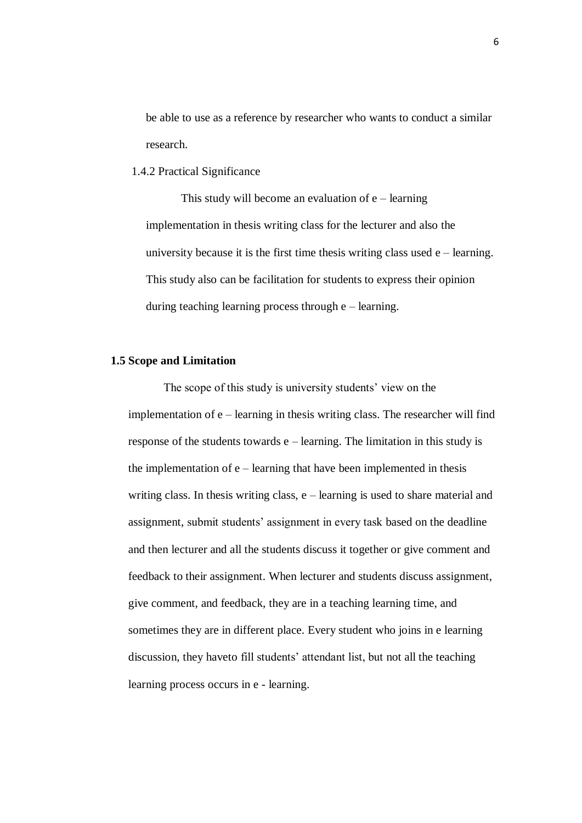be able to use as a reference by researcher who wants to conduct a similar research.

1.4.2 Practical Significance

This study will become an evaluation of  $e$  – learning implementation in thesis writing class for the lecturer and also the university because it is the first time thesis writing class used  $e$  – learning. This study also can be facilitation for students to express their opinion during teaching learning process through e – learning.

## **1.5 Scope and Limitation**

The scope of this study is university students' view on the implementation of e – learning in thesis writing class. The researcher will find response of the students towards e – learning. The limitation in this study is the implementation of  $e$  – learning that have been implemented in thesis writing class. In thesis writing class, e – learning is used to share material and assignment, submit students' assignment in every task based on the deadline and then lecturer and all the students discuss it together or give comment and feedback to their assignment. When lecturer and students discuss assignment, give comment, and feedback, they are in a teaching learning time, and sometimes they are in different place. Every student who joins in e learning discussion, they haveto fill students' attendant list, but not all the teaching learning process occurs in e - learning.